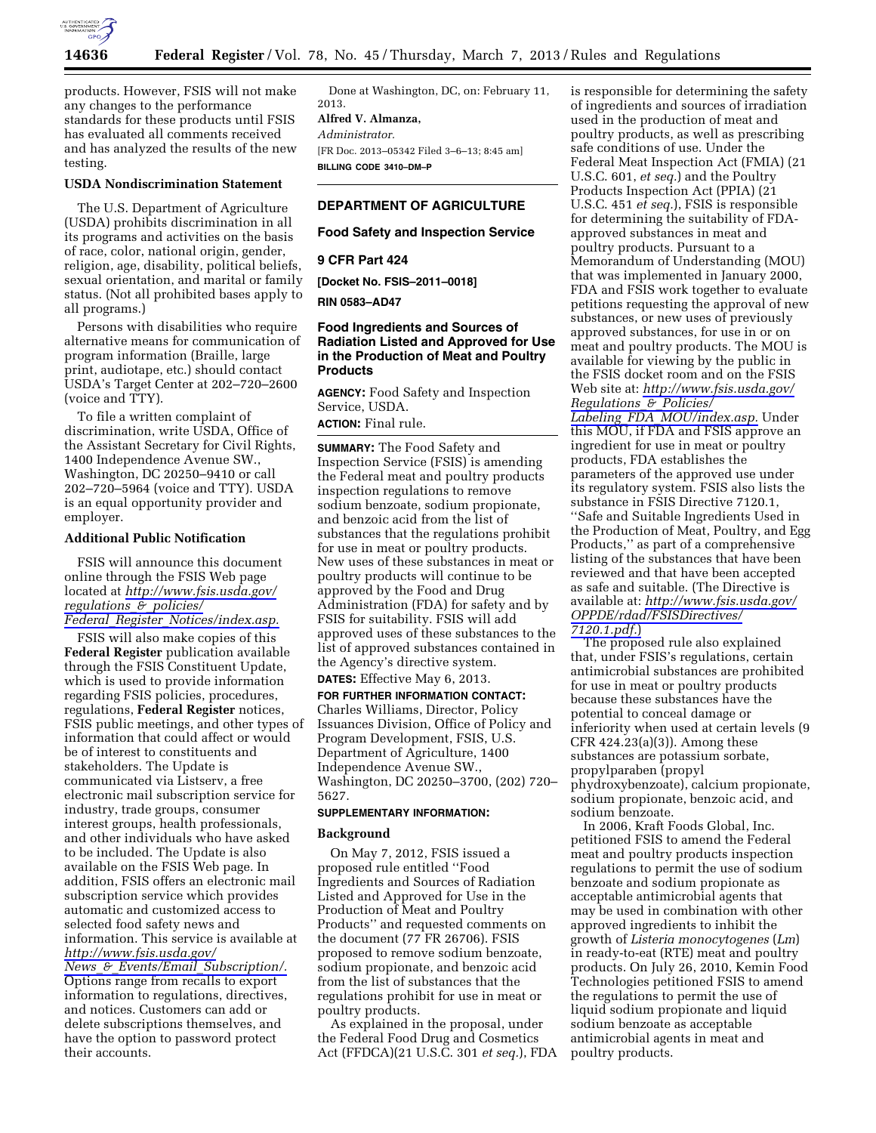

products. However, FSIS will not make any changes to the performance standards for these products until FSIS has evaluated all comments received and has analyzed the results of the new testing.

## **USDA Nondiscrimination Statement**

The U.S. Department of Agriculture (USDA) prohibits discrimination in all its programs and activities on the basis of race, color, national origin, gender, religion, age, disability, political beliefs, sexual orientation, and marital or family status. (Not all prohibited bases apply to all programs.)

Persons with disabilities who require alternative means for communication of program information (Braille, large print, audiotape, etc.) should contact USDA's Target Center at 202–720–2600 (voice and TTY).

To file a written complaint of discrimination, write USDA, Office of the Assistant Secretary for Civil Rights, 1400 Independence Avenue SW., Washington, DC 20250–9410 or call 202–720–5964 (voice and TTY). USDA is an equal opportunity provider and employer.

#### **Additional Public Notification**

FSIS will announce this document online through the FSIS Web page located at *[http://www.fsis.usda.gov/](http://www.fsis.usda.gov/regulations_&_policies/Federal_Register_Notices/index.asp) [regulations](http://www.fsis.usda.gov/regulations_&_policies/Federal_Register_Notices/index.asp)*\_*&*\_*policies/* 

*Federal*\_*Register*\_*[Notices/index.asp.](http://www.fsis.usda.gov/regulations_&_policies/Federal_Register_Notices/index.asp)* 

FSIS will also make copies of this **Federal Register** publication available through the FSIS Constituent Update, which is used to provide information regarding FSIS policies, procedures, regulations, **Federal Register** notices, FSIS public meetings, and other types of information that could affect or would be of interest to constituents and stakeholders. The Update is communicated via Listserv, a free electronic mail subscription service for industry, trade groups, consumer interest groups, health professionals, and other individuals who have asked to be included. The Update is also available on the FSIS Web page. In addition, FSIS offers an electronic mail subscription service which provides automatic and customized access to selected food safety news and information. This service is available at *[http://www.fsis.usda.gov/](http://www.fsis.usda.gov/News_&_Events/Email_Subscription/)  News*\_*&*\_*Events/Email*\_*[Subscription/.](http://www.fsis.usda.gov/News_&_Events/Email_Subscription/)*  Options range from recalls to export information to regulations, directives, and notices. Customers can add or

delete subscriptions themselves, and have the option to password protect their accounts.

Done at Washington, DC, on: February 11, 2013.

# **Alfred V. Almanza,**

*Administrator.* 

[FR Doc. 2013–05342 Filed 3–6–13; 8:45 am] **BILLING CODE 3410–DM–P** 

#### **DEPARTMENT OF AGRICULTURE**

#### **Food Safety and Inspection Service**

#### **9 CFR Part 424**

**[Docket No. FSIS–2011–0018]** 

## **RIN 0583–AD47**

## **Food Ingredients and Sources of Radiation Listed and Approved for Use in the Production of Meat and Poultry Products**

**AGENCY:** Food Safety and Inspection Service, USDA.

# **ACTION:** Final rule.

**SUMMARY:** The Food Safety and Inspection Service (FSIS) is amending the Federal meat and poultry products inspection regulations to remove sodium benzoate, sodium propionate, and benzoic acid from the list of substances that the regulations prohibit for use in meat or poultry products. New uses of these substances in meat or poultry products will continue to be approved by the Food and Drug Administration (FDA) for safety and by FSIS for suitability. FSIS will add approved uses of these substances to the list of approved substances contained in the Agency's directive system.

**DATES:** Effective May 6, 2013.

#### **FOR FURTHER INFORMATION CONTACT:**

Charles Williams, Director, Policy Issuances Division, Office of Policy and Program Development, FSIS, U.S. Department of Agriculture, 1400 Independence Avenue SW., Washington, DC 20250–3700, (202) 720– 5627.

## **SUPPLEMENTARY INFORMATION:**

#### **Background**

On May 7, 2012, FSIS issued a proposed rule entitled ''Food Ingredients and Sources of Radiation Listed and Approved for Use in the Production of Meat and Poultry Products'' and requested comments on the document (77 FR 26706). FSIS proposed to remove sodium benzoate, sodium propionate, and benzoic acid from the list of substances that the regulations prohibit for use in meat or poultry products.

As explained in the proposal, under the Federal Food Drug and Cosmetics Act (FFDCA)(21 U.S.C. 301 *et seq.*), FDA is responsible for determining the safety of ingredients and sources of irradiation used in the production of meat and poultry products, as well as prescribing safe conditions of use. Under the Federal Meat Inspection Act (FMIA) (21 U.S.C. 601, *et seq.*) and the Poultry Products Inspection Act (PPIA) (21 U.S.C. 451 *et seq.*), FSIS is responsible for determining the suitability of FDAapproved substances in meat and poultry products. Pursuant to a Memorandum of Understanding (MOU) that was implemented in January 2000, FDA and FSIS work together to evaluate petitions requesting the approval of new substances, or new uses of previously approved substances, for use in or on meat and poultry products. The MOU is available for viewing by the public in the FSIS docket room and on the FSIS Web site at: *[http://www.fsis.usda.gov/](http://www.fsis.usda.gov/Regulations_&_Policies/Labeling_FDA_MOU/index.asp) [Regulations](http://www.fsis.usda.gov/Regulations_&_Policies/Labeling_FDA_MOU/index.asp)*\_*&*\_*Policies/ Labeling*\_*FDA*\_*[MOU/index.asp.](http://www.fsis.usda.gov/Regulations_&_Policies/Labeling_FDA_MOU/index.asp)* Under this MOU, if FDA and FSIS approve an ingredient for use in meat or poultry products, FDA establishes the parameters of the approved use under its regulatory system. FSIS also lists the substance in FSIS Directive 7120.1, ''Safe and Suitable Ingredients Used in the Production of Meat, Poultry, and Egg Products,'' as part of a comprehensive listing of the substances that have been reviewed and that have been accepted as safe and suitable. (The Directive is available at: *[http://www.fsis.usda.gov/](http://www.fsis.usda.gov/OPPDE/rdad/FSISDirectives/7120.1.pdf)  [OPPDE/rdad/FSISDirectives/](http://www.fsis.usda.gov/OPPDE/rdad/FSISDirectives/7120.1.pdf) [7120.1.pdf.](http://www.fsis.usda.gov/OPPDE/rdad/FSISDirectives/7120.1.pdf)*)

The proposed rule also explained that, under FSIS's regulations, certain antimicrobial substances are prohibited for use in meat or poultry products because these substances have the potential to conceal damage or inferiority when used at certain levels (9 CFR 424.23(a)(3)). Among these substances are potassium sorbate, propylparaben (propyl phydroxybenzoate), calcium propionate, sodium propionate, benzoic acid, and sodium benzoate.

In 2006, Kraft Foods Global, Inc. petitioned FSIS to amend the Federal meat and poultry products inspection regulations to permit the use of sodium benzoate and sodium propionate as acceptable antimicrobial agents that may be used in combination with other approved ingredients to inhibit the growth of *Listeria monocytogenes* (*Lm*) in ready-to-eat (RTE) meat and poultry products. On July 26, 2010, Kemin Food Technologies petitioned FSIS to amend the regulations to permit the use of liquid sodium propionate and liquid sodium benzoate as acceptable antimicrobial agents in meat and poultry products.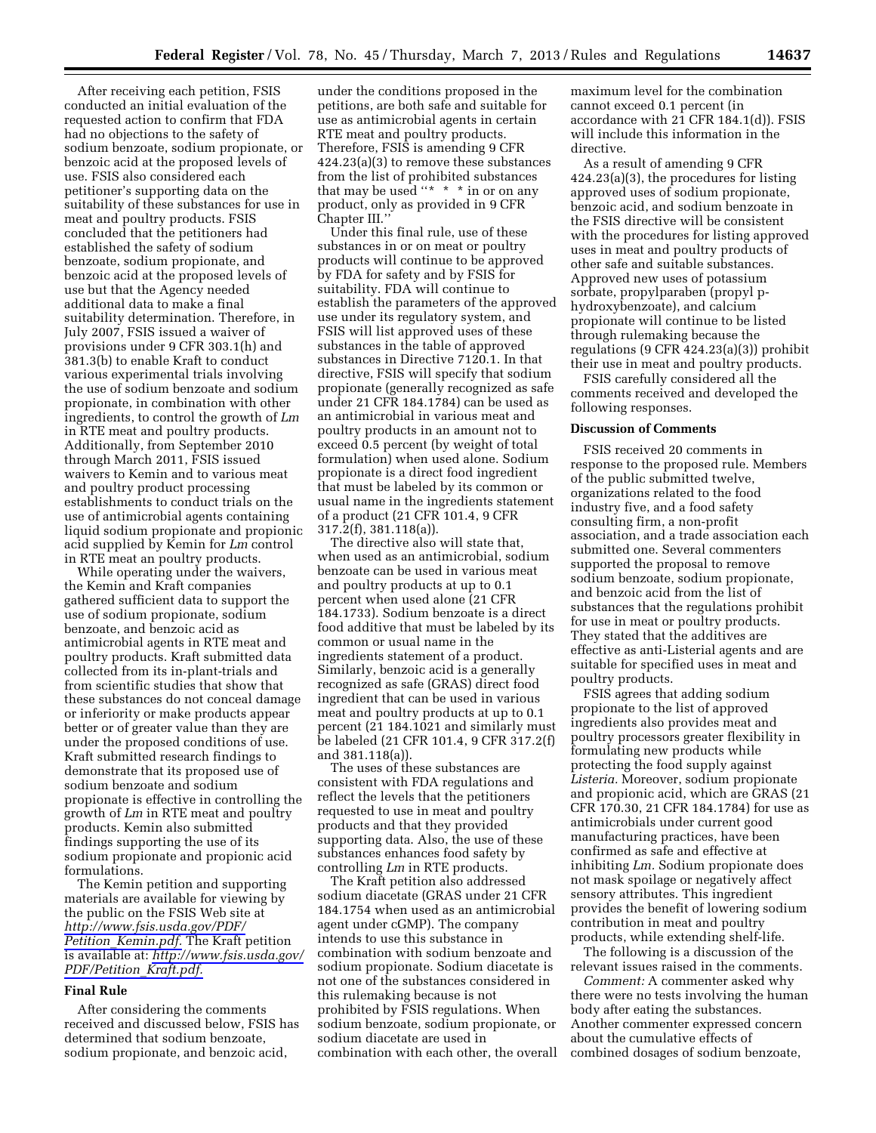After receiving each petition, FSIS conducted an initial evaluation of the requested action to confirm that FDA had no objections to the safety of sodium benzoate, sodium propionate, or benzoic acid at the proposed levels of use. FSIS also considered each petitioner's supporting data on the suitability of these substances for use in meat and poultry products. FSIS concluded that the petitioners had established the safety of sodium benzoate, sodium propionate, and benzoic acid at the proposed levels of use but that the Agency needed additional data to make a final suitability determination. Therefore, in July 2007, FSIS issued a waiver of provisions under 9 CFR 303.1(h) and 381.3(b) to enable Kraft to conduct various experimental trials involving the use of sodium benzoate and sodium propionate, in combination with other ingredients, to control the growth of *Lm*  in RTE meat and poultry products. Additionally, from September 2010 through March 2011, FSIS issued waivers to Kemin and to various meat and poultry product processing establishments to conduct trials on the use of antimicrobial agents containing liquid sodium propionate and propionic acid supplied by Kemin for *Lm* control in RTE meat an poultry products.

While operating under the waivers, the Kemin and Kraft companies gathered sufficient data to support the use of sodium propionate, sodium benzoate, and benzoic acid as antimicrobial agents in RTE meat and poultry products. Kraft submitted data collected from its in-plant-trials and from scientific studies that show that these substances do not conceal damage or inferiority or make products appear better or of greater value than they are under the proposed conditions of use. Kraft submitted research findings to demonstrate that its proposed use of sodium benzoate and sodium propionate is effective in controlling the growth of *Lm* in RTE meat and poultry products. Kemin also submitted findings supporting the use of its sodium propionate and propionic acid formulations.

The Kemin petition and supporting materials are available for viewing by the public on the FSIS Web site at *[http://www.fsis.usda.gov/PDF/](http://www.fsis.usda.gov/PDF/Petition_Kemin.pdf)  Petition*\_*[Kemin.pdf.](http://www.fsis.usda.gov/PDF/Petition_Kemin.pdf)* The Kraft petition is available at: *[http://www.fsis.usda.gov/](http://www.fsis.usda.gov/PDF/Petition_Kraft.pdf) [PDF/Petition](http://www.fsis.usda.gov/PDF/Petition_Kraft.pdf)*\_*Kraft.pdf.* 

#### **Final Rule**

After considering the comments received and discussed below, FSIS has determined that sodium benzoate, sodium propionate, and benzoic acid,

under the conditions proposed in the petitions, are both safe and suitable for use as antimicrobial agents in certain RTE meat and poultry products. Therefore, FSIS is amending 9 CFR 424.23(a)(3) to remove these substances from the list of prohibited substances that may be used "\*  $*$  \* in or on any product, only as provided in 9 CFR Chapter III.''

Under this final rule, use of these substances in or on meat or poultry products will continue to be approved by FDA for safety and by FSIS for suitability. FDA will continue to establish the parameters of the approved use under its regulatory system, and FSIS will list approved uses of these substances in the table of approved substances in Directive 7120.1. In that directive, FSIS will specify that sodium propionate (generally recognized as safe under 21 CFR 184.1784) can be used as an antimicrobial in various meat and poultry products in an amount not to exceed 0.5 percent (by weight of total formulation) when used alone. Sodium propionate is a direct food ingredient that must be labeled by its common or usual name in the ingredients statement of a product (21 CFR 101.4, 9 CFR 317.2(f), 381.118(a)).

The directive also will state that, when used as an antimicrobial, sodium benzoate can be used in various meat and poultry products at up to 0.1 percent when used alone (21 CFR 184.1733). Sodium benzoate is a direct food additive that must be labeled by its common or usual name in the ingredients statement of a product. Similarly, benzoic acid is a generally recognized as safe (GRAS) direct food ingredient that can be used in various meat and poultry products at up to 0.1 percent (21 184.1021 and similarly must be labeled (21 CFR 101.4, 9 CFR 317.2(f) and 381.118(a)).

The uses of these substances are consistent with FDA regulations and reflect the levels that the petitioners requested to use in meat and poultry products and that they provided supporting data. Also, the use of these substances enhances food safety by controlling *Lm* in RTE products.

The Kraft petition also addressed sodium diacetate (GRAS under 21 CFR 184.1754 when used as an antimicrobial agent under cGMP). The company intends to use this substance in combination with sodium benzoate and sodium propionate. Sodium diacetate is not one of the substances considered in this rulemaking because is not prohibited by FSIS regulations. When sodium benzoate, sodium propionate, or sodium diacetate are used in combination with each other, the overall maximum level for the combination cannot exceed 0.1 percent (in accordance with 21 CFR 184.1(d)). FSIS will include this information in the directive.

As a result of amending 9 CFR 424.23(a)(3), the procedures for listing approved uses of sodium propionate, benzoic acid, and sodium benzoate in the FSIS directive will be consistent with the procedures for listing approved uses in meat and poultry products of other safe and suitable substances. Approved new uses of potassium sorbate, propylparaben (propyl phydroxybenzoate), and calcium propionate will continue to be listed through rulemaking because the regulations (9 CFR 424.23(a)(3)) prohibit their use in meat and poultry products.

FSIS carefully considered all the comments received and developed the following responses.

#### **Discussion of Comments**

FSIS received 20 comments in response to the proposed rule. Members of the public submitted twelve, organizations related to the food industry five, and a food safety consulting firm, a non-profit association, and a trade association each submitted one. Several commenters supported the proposal to remove sodium benzoate, sodium propionate, and benzoic acid from the list of substances that the regulations prohibit for use in meat or poultry products. They stated that the additives are effective as anti-Listerial agents and are suitable for specified uses in meat and poultry products.

FSIS agrees that adding sodium propionate to the list of approved ingredients also provides meat and poultry processors greater flexibility in formulating new products while protecting the food supply against *Listeria.* Moreover, sodium propionate and propionic acid, which are GRAS (21 CFR 170.30, 21 CFR 184.1784) for use as antimicrobials under current good manufacturing practices, have been confirmed as safe and effective at inhibiting *Lm.* Sodium propionate does not mask spoilage or negatively affect sensory attributes. This ingredient provides the benefit of lowering sodium contribution in meat and poultry products, while extending shelf-life.

The following is a discussion of the relevant issues raised in the comments.

*Comment:* A commenter asked why there were no tests involving the human body after eating the substances. Another commenter expressed concern about the cumulative effects of combined dosages of sodium benzoate,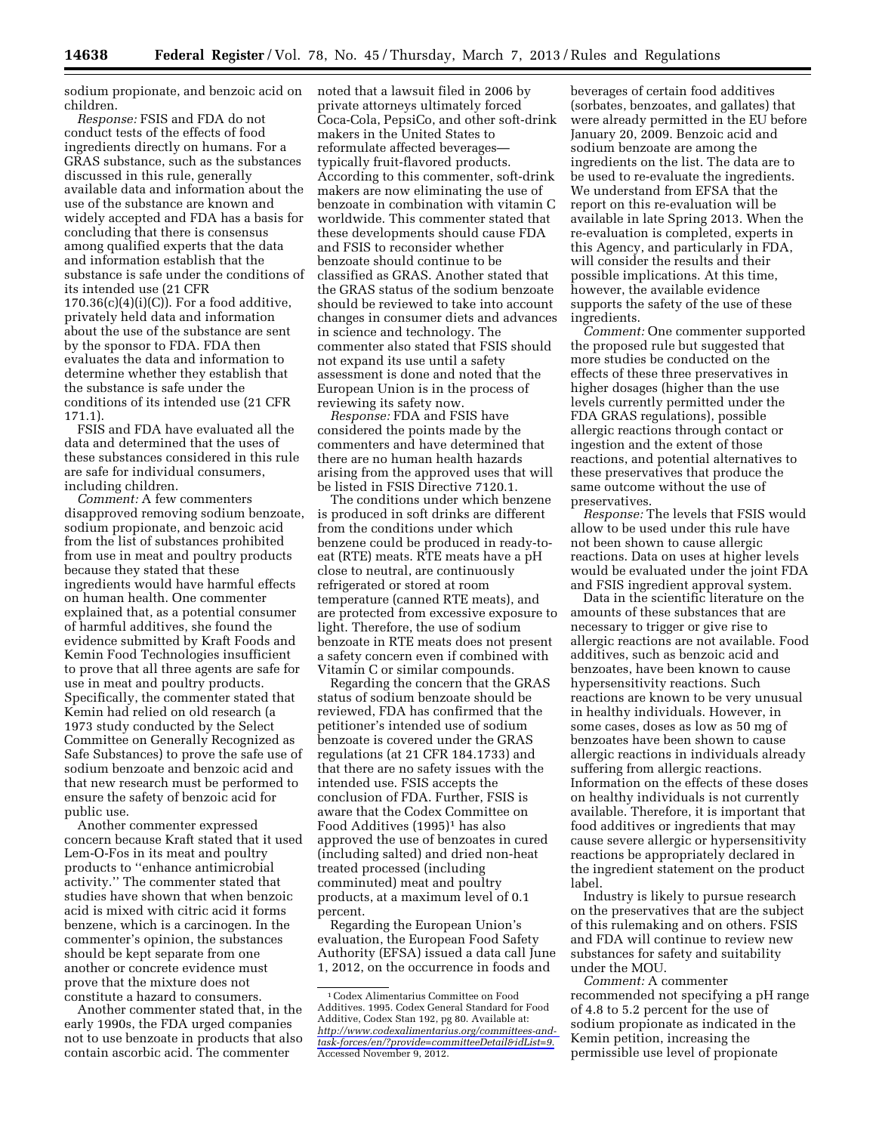sodium propionate, and benzoic acid on children.

*Response:* FSIS and FDA do not conduct tests of the effects of food ingredients directly on humans. For a GRAS substance, such as the substances discussed in this rule, generally available data and information about the use of the substance are known and widely accepted and FDA has a basis for concluding that there is consensus among qualified experts that the data and information establish that the substance is safe under the conditions of its intended use (21 CFR  $170.36(c)(4)(i)(C)$ ). For a food additive, privately held data and information about the use of the substance are sent by the sponsor to FDA. FDA then evaluates the data and information to determine whether they establish that the substance is safe under the conditions of its intended use (21 CFR 171.1).

FSIS and FDA have evaluated all the data and determined that the uses of these substances considered in this rule are safe for individual consumers, including children.

*Comment:* A few commenters disapproved removing sodium benzoate, sodium propionate, and benzoic acid from the list of substances prohibited from use in meat and poultry products because they stated that these ingredients would have harmful effects on human health. One commenter explained that, as a potential consumer of harmful additives, she found the evidence submitted by Kraft Foods and Kemin Food Technologies insufficient to prove that all three agents are safe for use in meat and poultry products. Specifically, the commenter stated that Kemin had relied on old research (a 1973 study conducted by the Select Committee on Generally Recognized as Safe Substances) to prove the safe use of sodium benzoate and benzoic acid and that new research must be performed to ensure the safety of benzoic acid for public use.

Another commenter expressed concern because Kraft stated that it used Lem-O-Fos in its meat and poultry products to ''enhance antimicrobial activity.'' The commenter stated that studies have shown that when benzoic acid is mixed with citric acid it forms benzene, which is a carcinogen. In the commenter's opinion, the substances should be kept separate from one another or concrete evidence must prove that the mixture does not constitute a hazard to consumers.

Another commenter stated that, in the early 1990s, the FDA urged companies not to use benzoate in products that also contain ascorbic acid. The commenter

noted that a lawsuit filed in 2006 by private attorneys ultimately forced Coca-Cola, PepsiCo, and other soft-drink makers in the United States to reformulate affected beverages typically fruit-flavored products. According to this commenter, soft-drink makers are now eliminating the use of benzoate in combination with vitamin C worldwide. This commenter stated that these developments should cause FDA and FSIS to reconsider whether benzoate should continue to be classified as GRAS. Another stated that the GRAS status of the sodium benzoate should be reviewed to take into account changes in consumer diets and advances in science and technology. The commenter also stated that FSIS should not expand its use until a safety assessment is done and noted that the European Union is in the process of reviewing its safety now.

*Response:* FDA and FSIS have considered the points made by the commenters and have determined that there are no human health hazards arising from the approved uses that will be listed in FSIS Directive 7120.1.

The conditions under which benzene is produced in soft drinks are different from the conditions under which benzene could be produced in ready-toeat (RTE) meats. RTE meats have a pH close to neutral, are continuously refrigerated or stored at room temperature (canned RTE meats), and are protected from excessive exposure to light. Therefore, the use of sodium benzoate in RTE meats does not present a safety concern even if combined with Vitamin C or similar compounds.

Regarding the concern that the GRAS status of sodium benzoate should be reviewed, FDA has confirmed that the petitioner's intended use of sodium benzoate is covered under the GRAS regulations (at 21 CFR 184.1733) and that there are no safety issues with the intended use. FSIS accepts the conclusion of FDA. Further, FSIS is aware that the Codex Committee on Food Additives (1995)1 has also approved the use of benzoates in cured (including salted) and dried non-heat treated processed (including comminuted) meat and poultry products, at a maximum level of 0.1 percent.

Regarding the European Union's evaluation, the European Food Safety Authority (EFSA) issued a data call June 1, 2012, on the occurrence in foods and

beverages of certain food additives (sorbates, benzoates, and gallates) that were already permitted in the EU before January 20, 2009. Benzoic acid and sodium benzoate are among the ingredients on the list. The data are to be used to re-evaluate the ingredients. We understand from EFSA that the report on this re-evaluation will be available in late Spring 2013. When the re-evaluation is completed, experts in this Agency, and particularly in FDA, will consider the results and their possible implications. At this time, however, the available evidence supports the safety of the use of these ingredients.

*Comment:* One commenter supported the proposed rule but suggested that more studies be conducted on the effects of these three preservatives in higher dosages (higher than the use levels currently permitted under the FDA GRAS regulations), possible allergic reactions through contact or ingestion and the extent of those reactions, and potential alternatives to these preservatives that produce the same outcome without the use of preservatives.

*Response:* The levels that FSIS would allow to be used under this rule have not been shown to cause allergic reactions. Data on uses at higher levels would be evaluated under the joint FDA and FSIS ingredient approval system.

Data in the scientific literature on the amounts of these substances that are necessary to trigger or give rise to allergic reactions are not available. Food additives, such as benzoic acid and benzoates, have been known to cause hypersensitivity reactions. Such reactions are known to be very unusual in healthy individuals. However, in some cases, doses as low as 50 mg of benzoates have been shown to cause allergic reactions in individuals already suffering from allergic reactions. Information on the effects of these doses on healthy individuals is not currently available. Therefore, it is important that food additives or ingredients that may cause severe allergic or hypersensitivity reactions be appropriately declared in the ingredient statement on the product label.

Industry is likely to pursue research on the preservatives that are the subject of this rulemaking and on others. FSIS and FDA will continue to review new substances for safety and suitability under the MOU.

*Comment:* A commenter recommended not specifying a pH range of 4.8 to 5.2 percent for the use of sodium propionate as indicated in the Kemin petition, increasing the permissible use level of propionate

<sup>1</sup>Codex Alimentarius Committee on Food Additives. 1995. Codex General Standard for Food Additive, Codex Stan 192, pg 80. Available at: *[http://www.codexalimentarius.org/committees-and](http://www.codexalimentarius.org/committees-and-task-forces/en/?provide=committeeDetail&idList=9)[task-forces/en/?provide=committeeDetail&idList=9.](http://www.codexalimentarius.org/committees-and-task-forces/en/?provide=committeeDetail&idList=9)*  Accessed November 9, 2012.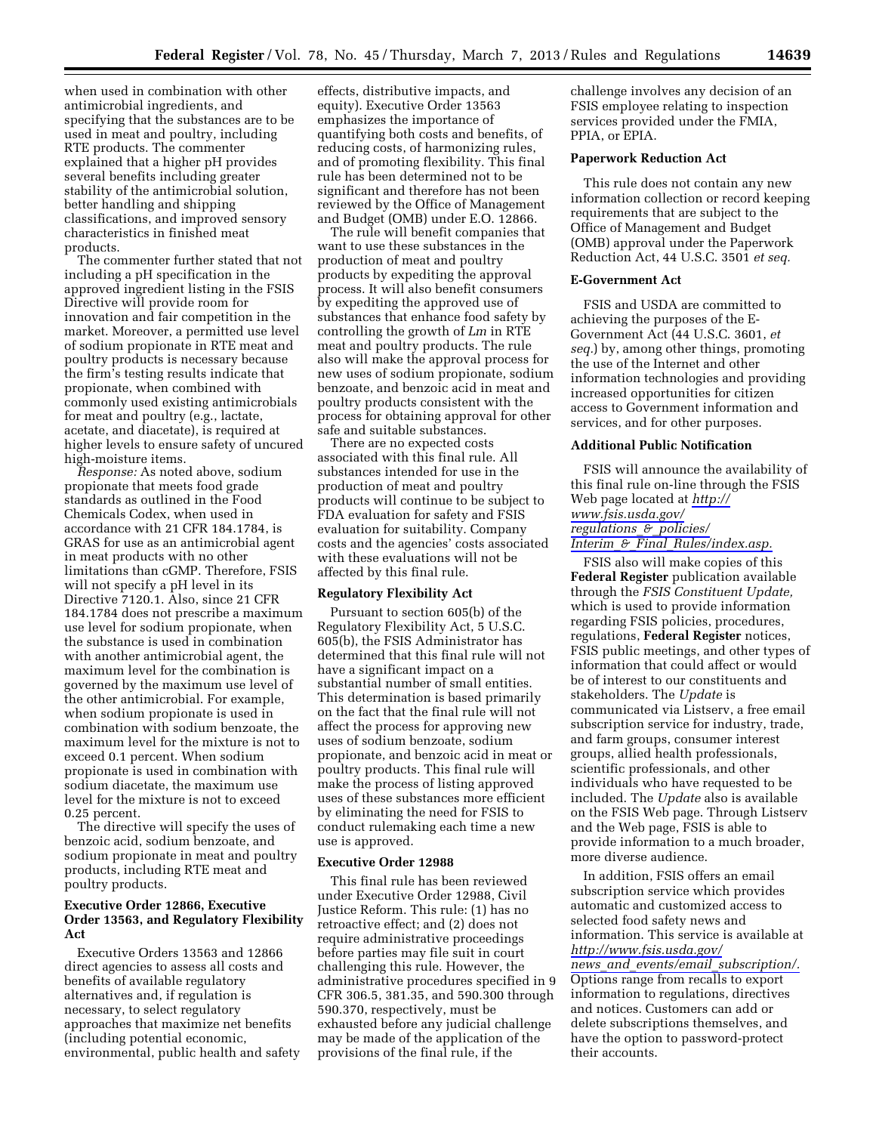when used in combination with other antimicrobial ingredients, and specifying that the substances are to be used in meat and poultry, including RTE products. The commenter explained that a higher pH provides several benefits including greater stability of the antimicrobial solution, better handling and shipping classifications, and improved sensory characteristics in finished meat products.

The commenter further stated that not including a pH specification in the approved ingredient listing in the FSIS Directive will provide room for innovation and fair competition in the market. Moreover, a permitted use level of sodium propionate in RTE meat and poultry products is necessary because the firm's testing results indicate that propionate, when combined with commonly used existing antimicrobials for meat and poultry (e.g., lactate, acetate, and diacetate), is required at higher levels to ensure safety of uncured high-moisture items.

*Response:* As noted above, sodium propionate that meets food grade standards as outlined in the Food Chemicals Codex, when used in accordance with 21 CFR 184.1784, is GRAS for use as an antimicrobial agent in meat products with no other limitations than cGMP. Therefore, FSIS will not specify a pH level in its Directive 7120.1. Also, since 21 CFR 184.1784 does not prescribe a maximum use level for sodium propionate, when the substance is used in combination with another antimicrobial agent, the maximum level for the combination is governed by the maximum use level of the other antimicrobial. For example, when sodium propionate is used in combination with sodium benzoate, the maximum level for the mixture is not to exceed 0.1 percent. When sodium propionate is used in combination with sodium diacetate, the maximum use level for the mixture is not to exceed 0.25 percent.

The directive will specify the uses of benzoic acid, sodium benzoate, and sodium propionate in meat and poultry products, including RTE meat and poultry products.

## **Executive Order 12866, Executive Order 13563, and Regulatory Flexibility Act**

Executive Orders 13563 and 12866 direct agencies to assess all costs and benefits of available regulatory alternatives and, if regulation is necessary, to select regulatory approaches that maximize net benefits (including potential economic, environmental, public health and safety

effects, distributive impacts, and equity). Executive Order 13563 emphasizes the importance of quantifying both costs and benefits, of reducing costs, of harmonizing rules, and of promoting flexibility. This final rule has been determined not to be significant and therefore has not been reviewed by the Office of Management and Budget (OMB) under E.O. 12866.

The rule will benefit companies that want to use these substances in the production of meat and poultry products by expediting the approval process. It will also benefit consumers by expediting the approved use of substances that enhance food safety by controlling the growth of *Lm* in RTE meat and poultry products. The rule also will make the approval process for new uses of sodium propionate, sodium benzoate, and benzoic acid in meat and poultry products consistent with the process for obtaining approval for other safe and suitable substances.

There are no expected costs associated with this final rule. All substances intended for use in the production of meat and poultry products will continue to be subject to FDA evaluation for safety and FSIS evaluation for suitability. Company costs and the agencies' costs associated with these evaluations will not be affected by this final rule.

#### **Regulatory Flexibility Act**

Pursuant to section 605(b) of the Regulatory Flexibility Act, 5 U.S.C. 605(b), the FSIS Administrator has determined that this final rule will not have a significant impact on a substantial number of small entities. This determination is based primarily on the fact that the final rule will not affect the process for approving new uses of sodium benzoate, sodium propionate, and benzoic acid in meat or poultry products. This final rule will make the process of listing approved uses of these substances more efficient by eliminating the need for FSIS to conduct rulemaking each time a new use is approved.

### **Executive Order 12988**

This final rule has been reviewed under Executive Order 12988, Civil Justice Reform. This rule: (1) has no retroactive effect; and (2) does not require administrative proceedings before parties may file suit in court challenging this rule. However, the administrative procedures specified in 9 CFR 306.5, 381.35, and 590.300 through 590.370, respectively, must be exhausted before any judicial challenge may be made of the application of the provisions of the final rule, if the

challenge involves any decision of an FSIS employee relating to inspection services provided under the FMIA, PPIA, or EPIA.

## **Paperwork Reduction Act**

This rule does not contain any new information collection or record keeping requirements that are subject to the Office of Management and Budget (OMB) approval under the Paperwork Reduction Act, 44 U.S.C. 3501 *et seq.* 

# **E-Government Act**

FSIS and USDA are committed to achieving the purposes of the E-Government Act (44 U.S.C. 3601, *et seq.*) by, among other things, promoting the use of the Internet and other information technologies and providing increased opportunities for citizen access to Government information and services, and for other purposes.

### **Additional Public Notification**

FSIS will announce the availability of this final rule on-line through the FSIS Web page located at *[http://](http://www.fsis.usda.gov/regulations_&_policies/Interim_&_Final_Rules/index.asp) [www.fsis.usda.gov/](http://www.fsis.usda.gov/regulations_&_policies/Interim_&_Final_Rules/index.asp) [regulations](http://www.fsis.usda.gov/regulations_&_policies/Interim_&_Final_Rules/index.asp)*\_*&*\_*policies/ Interim*\_*&*\_*Final*\_*[Rules/index.asp.](http://www.fsis.usda.gov/regulations_&_policies/Interim_&_Final_Rules/index.asp)* 

FSIS also will make copies of this **Federal Register** publication available through the *FSIS Constituent Update,*  which is used to provide information regarding FSIS policies, procedures, regulations, **Federal Register** notices, FSIS public meetings, and other types of information that could affect or would be of interest to our constituents and stakeholders. The *Update* is communicated via Listserv, a free email subscription service for industry, trade, and farm groups, consumer interest groups, allied health professionals, scientific professionals, and other individuals who have requested to be included. The *Update* also is available on the FSIS Web page. Through Listserv and the Web page, FSIS is able to provide information to a much broader, more diverse audience.

In addition, FSIS offers an email subscription service which provides automatic and customized access to selected food safety news and information. This service is available at *[http://www.fsis.usda.gov/](http://www.fsis.usda.gov/news_and_events/email_subscription/)  news*\_*and*\_*events/email*\_*[subscription/.](http://www.fsis.usda.gov/news_and_events/email_subscription/)*  Options range from recalls to export information to regulations, directives and notices. Customers can add or delete subscriptions themselves, and have the option to password-protect their accounts.